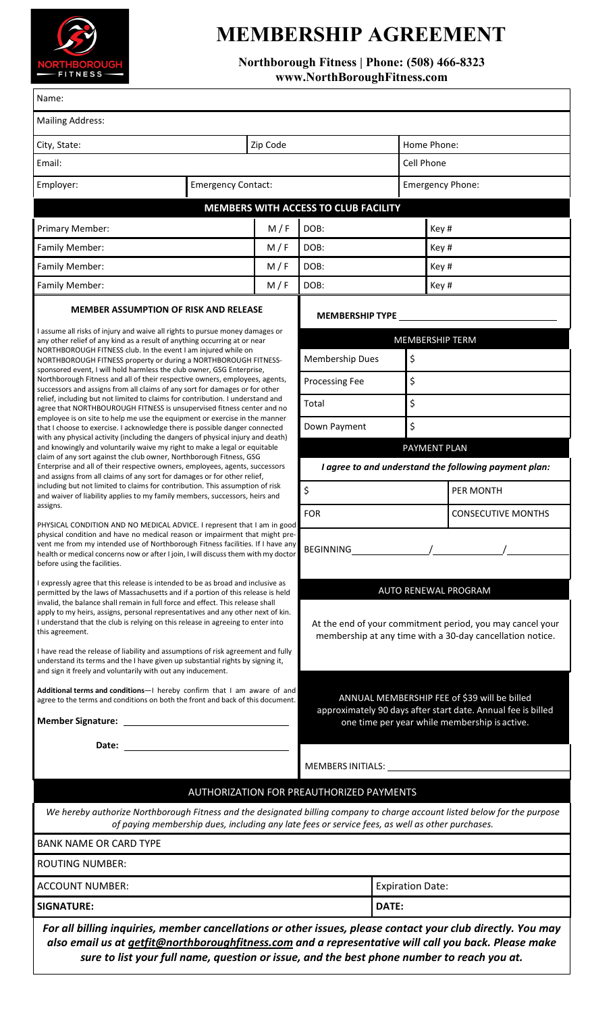

## **MEMBERSHIP AGREEMENT**

**Northborough Fitness | Phone: (508) 466-8323 www.NorthBoroughFitness.com**

| Name:                                                                                                                                                                                                                                                                                                                                                                                                                                                                                                                            |                                                                                                                                                               |                                           |                         |                         |                           |  |  |
|----------------------------------------------------------------------------------------------------------------------------------------------------------------------------------------------------------------------------------------------------------------------------------------------------------------------------------------------------------------------------------------------------------------------------------------------------------------------------------------------------------------------------------|---------------------------------------------------------------------------------------------------------------------------------------------------------------|-------------------------------------------|-------------------------|-------------------------|---------------------------|--|--|
| <b>Mailing Address:</b>                                                                                                                                                                                                                                                                                                                                                                                                                                                                                                          |                                                                                                                                                               |                                           |                         |                         |                           |  |  |
| City, State:                                                                                                                                                                                                                                                                                                                                                                                                                                                                                                                     |                                                                                                                                                               | Zip Code                                  |                         | Home Phone:             |                           |  |  |
| Email:                                                                                                                                                                                                                                                                                                                                                                                                                                                                                                                           |                                                                                                                                                               |                                           |                         |                         | Cell Phone                |  |  |
| Employer:<br><b>Emergency Contact:</b>                                                                                                                                                                                                                                                                                                                                                                                                                                                                                           |                                                                                                                                                               |                                           |                         | <b>Emergency Phone:</b> |                           |  |  |
|                                                                                                                                                                                                                                                                                                                                                                                                                                                                                                                                  | MEMBERS WITH ACCESS TO CLUB FACILITY                                                                                                                          |                                           |                         |                         |                           |  |  |
| Primary Member:                                                                                                                                                                                                                                                                                                                                                                                                                                                                                                                  | M/F                                                                                                                                                           | DOB:                                      |                         |                         | Key #                     |  |  |
| Family Member:                                                                                                                                                                                                                                                                                                                                                                                                                                                                                                                   | M/F                                                                                                                                                           | DOB:                                      |                         |                         | Key #                     |  |  |
| Family Member:                                                                                                                                                                                                                                                                                                                                                                                                                                                                                                                   | M/F                                                                                                                                                           | DOB:                                      |                         |                         | Key #                     |  |  |
| Family Member:<br>M/F                                                                                                                                                                                                                                                                                                                                                                                                                                                                                                            |                                                                                                                                                               | DOB:                                      |                         | Key #                   |                           |  |  |
| <b>MEMBER ASSUMPTION OF RISK AND RELEASE</b>                                                                                                                                                                                                                                                                                                                                                                                                                                                                                     |                                                                                                                                                               | <b>MEMBERSHIP TYPE</b>                    |                         |                         |                           |  |  |
| I assume all risks of injury and waive all rights to pursue money damages or                                                                                                                                                                                                                                                                                                                                                                                                                                                     |                                                                                                                                                               |                                           |                         |                         |                           |  |  |
| any other relief of any kind as a result of anything occurring at or near<br>NORTHBOROUGH FITNESS club. In the event I am injured while on                                                                                                                                                                                                                                                                                                                                                                                       |                                                                                                                                                               | <b>MEMBERSHIP TERM</b><br>Membership Dues |                         |                         |                           |  |  |
| NORTHBOROUGH FITNESS property or during a NORTHBOROUGH FITNESS-<br>sponsored event, I will hold harmless the club owner, GSG Enterprise,                                                                                                                                                                                                                                                                                                                                                                                         |                                                                                                                                                               |                                           |                         | \$                      |                           |  |  |
| Northborough Fitness and all of their respective owners, employees, agents,<br>successors and assigns from all claims of any sort for damages or for other                                                                                                                                                                                                                                                                                                                                                                       | Processing Fee                                                                                                                                                |                                           |                         | \$                      |                           |  |  |
| relief, including but not limited to claims for contribution. I understand and<br>agree that NORTHBOUROUGH FITNESS is unsupervised fitness center and no<br>employee is on site to help me use the equipment or exercise in the manner                                                                                                                                                                                                                                                                                           | Total                                                                                                                                                         |                                           |                         | \$                      |                           |  |  |
| that I choose to exercise. I acknowledge there is possible danger connected<br>with any physical activity (including the dangers of physical injury and death)                                                                                                                                                                                                                                                                                                                                                                   | Down Payment                                                                                                                                                  |                                           | \$                      |                         |                           |  |  |
| and knowingly and voluntarily waive my right to make a legal or equitable<br>claim of any sort against the club owner, Northborough Fitness, GSG                                                                                                                                                                                                                                                                                                                                                                                 | PAYMENT PLAN                                                                                                                                                  |                                           |                         |                         |                           |  |  |
| Enterprise and all of their respective owners, employees, agents, successors<br>and assigns from all claims of any sort for damages or for other relief,                                                                                                                                                                                                                                                                                                                                                                         | I agree to and understand the following payment plan:                                                                                                         |                                           |                         |                         |                           |  |  |
| including but not limited to claims for contribution. This assumption of risk<br>and waiver of liability applies to my family members, successors, heirs and                                                                                                                                                                                                                                                                                                                                                                     |                                                                                                                                                               | \$                                        |                         | PER MONTH               |                           |  |  |
| assigns.                                                                                                                                                                                                                                                                                                                                                                                                                                                                                                                         | <b>FOR</b>                                                                                                                                                    |                                           |                         |                         | <b>CONSECUTIVE MONTHS</b> |  |  |
| PHYSICAL CONDITION AND NO MEDICAL ADVICE. I represent that I am in good<br>physical condition and have no medical reason or impairment that might pre-<br>vent me from my intended use of Northborough Fitness facilities. If I have any<br>health or medical concerns now or after I join, I will discuss them with my doctor<br>before using the facilities.                                                                                                                                                                   |                                                                                                                                                               |                                           |                         |                         |                           |  |  |
| I expressly agree that this release is intended to be as broad and inclusive as                                                                                                                                                                                                                                                                                                                                                                                                                                                  |                                                                                                                                                               |                                           |                         |                         |                           |  |  |
| permitted by the laws of Massachusetts and if a portion of this release is held<br>invalid, the balance shall remain in full force and effect. This release shall<br>apply to my heirs, assigns, personal representatives and any other next of kin.<br>I understand that the club is relying on this release in agreeing to enter into<br>this agreement.<br>I have read the release of liability and assumptions of risk agreement and fully<br>understand its terms and the I have given up substantial rights by signing it, | AUTO RENEWAL PROGRAM<br>At the end of your commitment period, you may cancel your<br>membership at any time with a 30-day cancellation notice.                |                                           |                         |                         |                           |  |  |
| and sign it freely and voluntarily with out any inducement.<br>Additional terms and conditions-I hereby confirm that I am aware of and<br>agree to the terms and conditions on both the front and back of this document.                                                                                                                                                                                                                                                                                                         | ANNUAL MEMBERSHIP FEE of \$39 will be billed<br>approximately 90 days after start date. Annual fee is billed<br>one time per year while membership is active. |                                           |                         |                         |                           |  |  |
|                                                                                                                                                                                                                                                                                                                                                                                                                                                                                                                                  |                                                                                                                                                               |                                           |                         |                         |                           |  |  |
|                                                                                                                                                                                                                                                                                                                                                                                                                                                                                                                                  |                                                                                                                                                               |                                           |                         |                         |                           |  |  |
|                                                                                                                                                                                                                                                                                                                                                                                                                                                                                                                                  | AUTHORIZATION FOR PREAUTHORIZED PAYMENTS                                                                                                                      |                                           |                         |                         |                           |  |  |
| We hereby authorize Northborough Fitness and the designated billing company to charge account listed below for the purpose                                                                                                                                                                                                                                                                                                                                                                                                       | of paying membership dues, including any late fees or service fees, as well as other purchases.                                                               |                                           |                         |                         |                           |  |  |
| <b>BANK NAME OR CARD TYPE</b>                                                                                                                                                                                                                                                                                                                                                                                                                                                                                                    |                                                                                                                                                               |                                           |                         |                         |                           |  |  |
| <b>ROUTING NUMBER:</b>                                                                                                                                                                                                                                                                                                                                                                                                                                                                                                           |                                                                                                                                                               |                                           |                         |                         |                           |  |  |
| <b>ACCOUNT NUMBER:</b>                                                                                                                                                                                                                                                                                                                                                                                                                                                                                                           |                                                                                                                                                               |                                           | <b>Expiration Date:</b> |                         |                           |  |  |
| <b>SIGNATURE:</b>                                                                                                                                                                                                                                                                                                                                                                                                                                                                                                                |                                                                                                                                                               |                                           | DATE:                   |                         |                           |  |  |

*sure to list your full name, question or issue, and the best phone number to reach you at.*